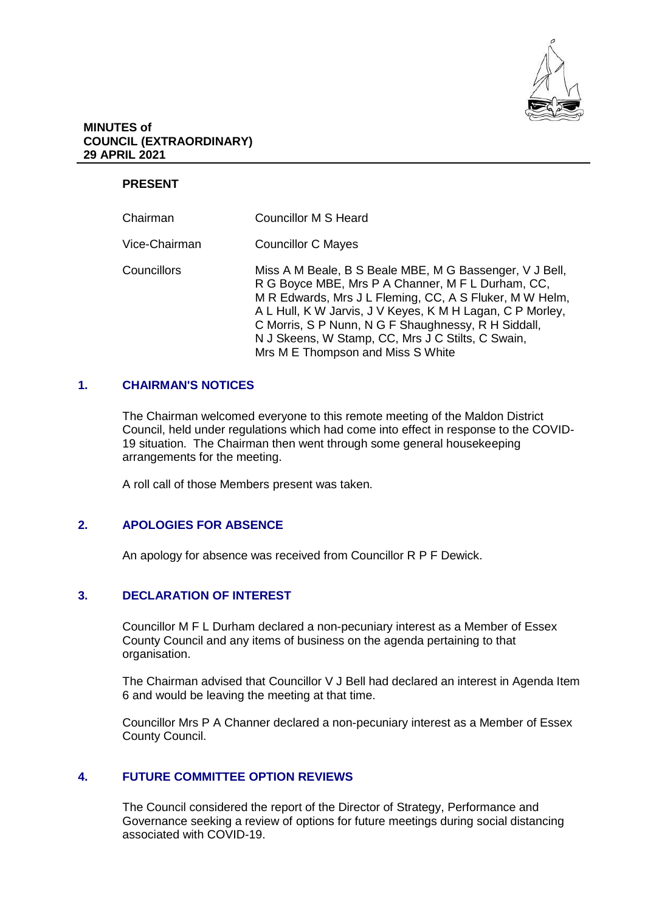

### **MINUTES of COUNCIL (EXTRAORDINARY) 29 APRIL 2021**

# **PRESENT**

| Chairman      | <b>Councillor M S Heard</b>                                                                                                                                                                                                                                                                                                                                                           |
|---------------|---------------------------------------------------------------------------------------------------------------------------------------------------------------------------------------------------------------------------------------------------------------------------------------------------------------------------------------------------------------------------------------|
| Vice-Chairman | <b>Councillor C Mayes</b>                                                                                                                                                                                                                                                                                                                                                             |
| Councillors   | Miss A M Beale, B S Beale MBE, M G Bassenger, V J Bell,<br>R G Boyce MBE, Mrs P A Channer, M F L Durham, CC,<br>M R Edwards, Mrs J L Fleming, CC, A S Fluker, M W Helm,<br>A L Hull, K W Jarvis, J V Keyes, K M H Lagan, C P Morley,<br>C Morris, S P Nunn, N G F Shaughnessy, R H Siddall,<br>N J Skeens, W Stamp, CC, Mrs J C Stilts, C Swain,<br>Mrs M E Thompson and Miss S White |

## **1. CHAIRMAN'S NOTICES**

The Chairman welcomed everyone to this remote meeting of the Maldon District Council, held under regulations which had come into effect in response to the COVID-19 situation. The Chairman then went through some general housekeeping arrangements for the meeting.

A roll call of those Members present was taken.

### **2. APOLOGIES FOR ABSENCE**

An apology for absence was received from Councillor R P F Dewick.

# **3. DECLARATION OF INTEREST**

Councillor M F L Durham declared a non-pecuniary interest as a Member of Essex County Council and any items of business on the agenda pertaining to that organisation.

The Chairman advised that Councillor V J Bell had declared an interest in Agenda Item 6 and would be leaving the meeting at that time.

Councillor Mrs P A Channer declared a non-pecuniary interest as a Member of Essex County Council.

# **4. FUTURE COMMITTEE OPTION REVIEWS**

The Council considered the report of the Director of Strategy, Performance and Governance seeking a review of options for future meetings during social distancing associated with COVID-19.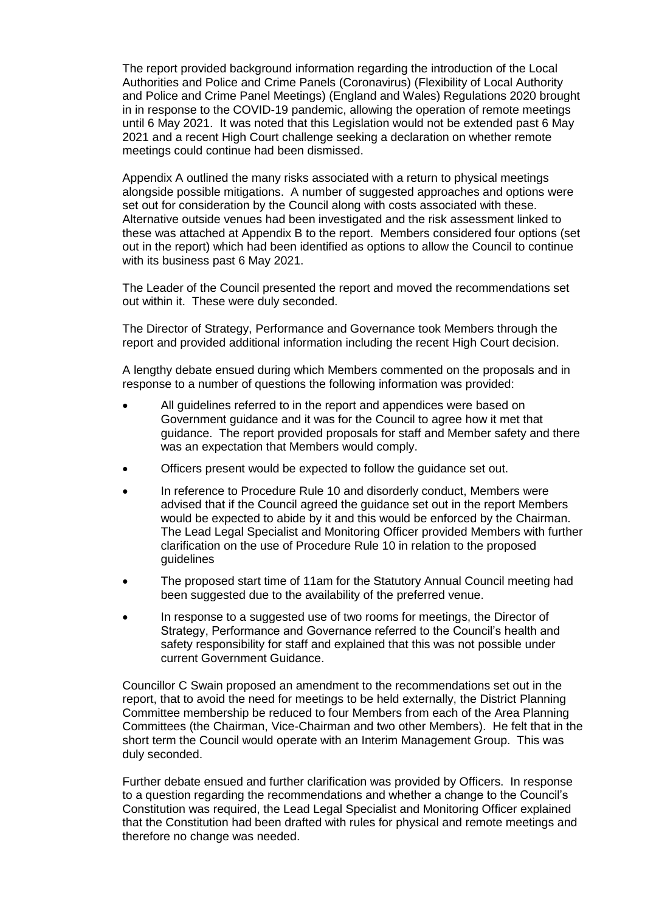The report provided background information regarding the introduction of the Local Authorities and Police and Crime Panels (Coronavirus) (Flexibility of Local Authority and Police and Crime Panel Meetings) (England and Wales) Regulations 2020 brought in in response to the COVID-19 pandemic, allowing the operation of remote meetings until 6 May 2021. It was noted that this Legislation would not be extended past 6 May 2021 and a recent High Court challenge seeking a declaration on whether remote meetings could continue had been dismissed.

Appendix A outlined the many risks associated with a return to physical meetings alongside possible mitigations. A number of suggested approaches and options were set out for consideration by the Council along with costs associated with these. Alternative outside venues had been investigated and the risk assessment linked to these was attached at Appendix B to the report. Members considered four options (set out in the report) which had been identified as options to allow the Council to continue with its business past 6 May 2021.

The Leader of the Council presented the report and moved the recommendations set out within it. These were duly seconded.

The Director of Strategy, Performance and Governance took Members through the report and provided additional information including the recent High Court decision.

A lengthy debate ensued during which Members commented on the proposals and in response to a number of questions the following information was provided:

- All guidelines referred to in the report and appendices were based on Government guidance and it was for the Council to agree how it met that guidance. The report provided proposals for staff and Member safety and there was an expectation that Members would comply.
- Officers present would be expected to follow the guidance set out.
- In reference to Procedure Rule 10 and disorderly conduct, Members were advised that if the Council agreed the guidance set out in the report Members would be expected to abide by it and this would be enforced by the Chairman. The Lead Legal Specialist and Monitoring Officer provided Members with further clarification on the use of Procedure Rule 10 in relation to the proposed guidelines
- The proposed start time of 11am for the Statutory Annual Council meeting had been suggested due to the availability of the preferred venue.
- In response to a suggested use of two rooms for meetings, the Director of Strategy, Performance and Governance referred to the Council's health and safety responsibility for staff and explained that this was not possible under current Government Guidance.

Councillor C Swain proposed an amendment to the recommendations set out in the report, that to avoid the need for meetings to be held externally, the District Planning Committee membership be reduced to four Members from each of the Area Planning Committees (the Chairman, Vice-Chairman and two other Members). He felt that in the short term the Council would operate with an Interim Management Group. This was duly seconded.

Further debate ensued and further clarification was provided by Officers. In response to a question regarding the recommendations and whether a change to the Council's Constitution was required, the Lead Legal Specialist and Monitoring Officer explained that the Constitution had been drafted with rules for physical and remote meetings and therefore no change was needed.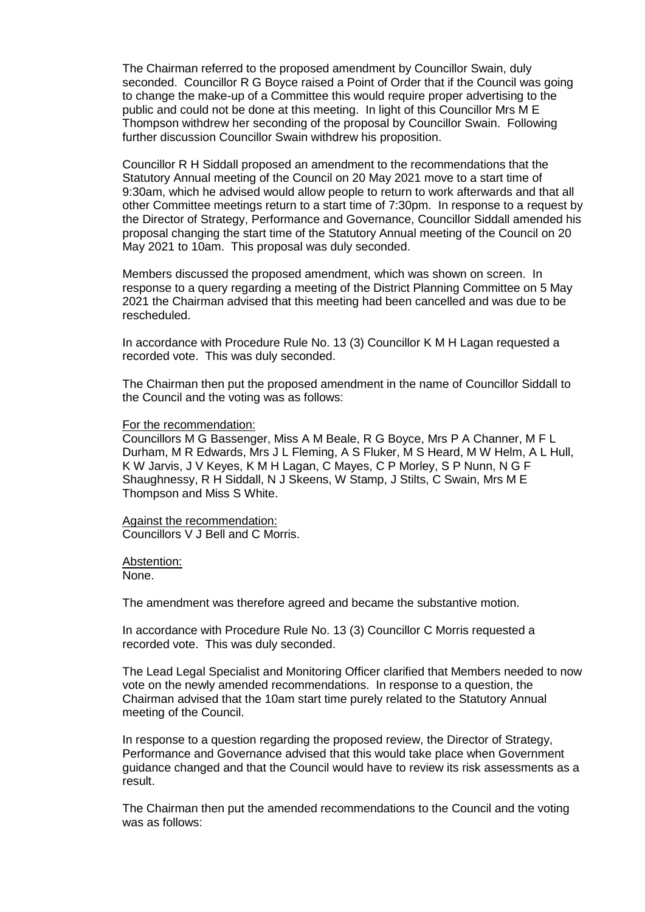The Chairman referred to the proposed amendment by Councillor Swain, duly seconded. Councillor R G Boyce raised a Point of Order that if the Council was going to change the make-up of a Committee this would require proper advertising to the public and could not be done at this meeting. In light of this Councillor Mrs M E Thompson withdrew her seconding of the proposal by Councillor Swain. Following further discussion Councillor Swain withdrew his proposition.

Councillor R H Siddall proposed an amendment to the recommendations that the Statutory Annual meeting of the Council on 20 May 2021 move to a start time of 9:30am, which he advised would allow people to return to work afterwards and that all other Committee meetings return to a start time of 7:30pm. In response to a request by the Director of Strategy, Performance and Governance, Councillor Siddall amended his proposal changing the start time of the Statutory Annual meeting of the Council on 20 May 2021 to 10am. This proposal was duly seconded.

Members discussed the proposed amendment, which was shown on screen. In response to a query regarding a meeting of the District Planning Committee on 5 May 2021 the Chairman advised that this meeting had been cancelled and was due to be rescheduled.

In accordance with Procedure Rule No. 13 (3) Councillor K M H Lagan requested a recorded vote. This was duly seconded.

The Chairman then put the proposed amendment in the name of Councillor Siddall to the Council and the voting was as follows:

#### For the recommendation:

Councillors M G Bassenger, Miss A M Beale, R G Boyce, Mrs P A Channer, M F L Durham, M R Edwards, Mrs J L Fleming, A S Fluker, M S Heard, M W Helm, A L Hull, K W Jarvis, J V Keyes, K M H Lagan, C Mayes, C P Morley, S P Nunn, N G F Shaughnessy, R H Siddall, N J Skeens, W Stamp, J Stilts, C Swain, Mrs M E Thompson and Miss S White.

Against the recommendation: Councillors V J Bell and C Morris.

Abstention:

None.

The amendment was therefore agreed and became the substantive motion.

In accordance with Procedure Rule No. 13 (3) Councillor C Morris requested a recorded vote. This was duly seconded.

The Lead Legal Specialist and Monitoring Officer clarified that Members needed to now vote on the newly amended recommendations. In response to a question, the Chairman advised that the 10am start time purely related to the Statutory Annual meeting of the Council.

In response to a question regarding the proposed review, the Director of Strategy, Performance and Governance advised that this would take place when Government guidance changed and that the Council would have to review its risk assessments as a result.

The Chairman then put the amended recommendations to the Council and the voting was as follows: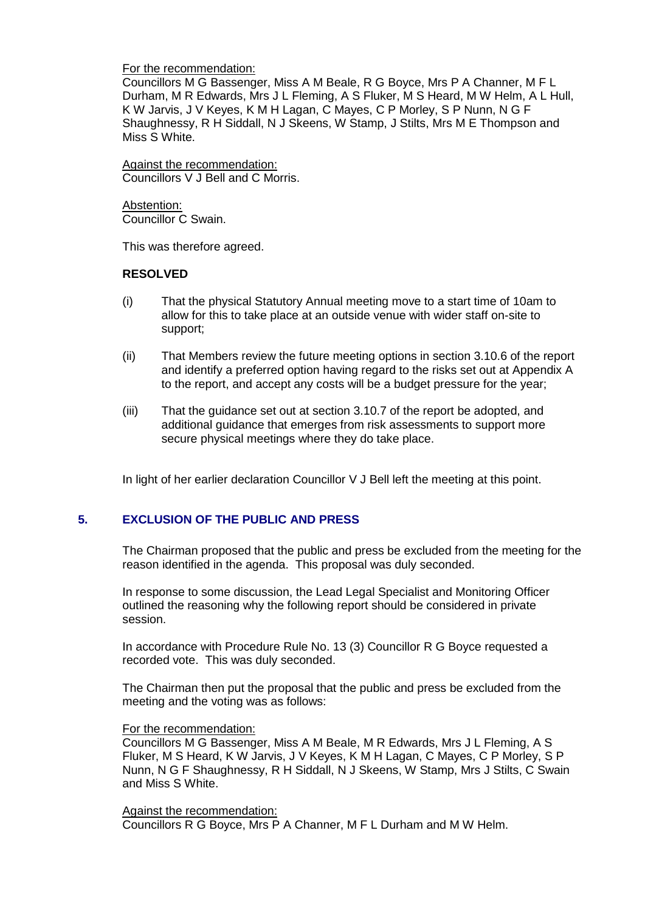### For the recommendation:

Councillors M G Bassenger, Miss A M Beale, R G Boyce, Mrs P A Channer, M F L Durham, M R Edwards, Mrs J L Fleming, A S Fluker, M S Heard, M W Helm, A L Hull, K W Jarvis, J V Keyes, K M H Lagan, C Mayes, C P Morley, S P Nunn, N G F Shaughnessy, R H Siddall, N J Skeens, W Stamp, J Stilts, Mrs M E Thompson and Miss S White.

Against the recommendation: Councillors V J Bell and C Morris.

Abstention: Councillor C Swain.

This was therefore agreed.

# **RESOLVED**

- (i) That the physical Statutory Annual meeting move to a start time of 10am to allow for this to take place at an outside venue with wider staff on-site to support;
- (ii) That Members review the future meeting options in section 3.10.6 of the report and identify a preferred option having regard to the risks set out at Appendix A to the report, and accept any costs will be a budget pressure for the year;
- (iii) That the guidance set out at section 3.10.7 of the report be adopted, and additional guidance that emerges from risk assessments to support more secure physical meetings where they do take place.

In light of her earlier declaration Councillor V J Bell left the meeting at this point.

# **5. EXCLUSION OF THE PUBLIC AND PRESS**

The Chairman proposed that the public and press be excluded from the meeting for the reason identified in the agenda. This proposal was duly seconded.

In response to some discussion, the Lead Legal Specialist and Monitoring Officer outlined the reasoning why the following report should be considered in private session.

In accordance with Procedure Rule No. 13 (3) Councillor R G Boyce requested a recorded vote. This was duly seconded.

The Chairman then put the proposal that the public and press be excluded from the meeting and the voting was as follows:

### For the recommendation:

Councillors M G Bassenger, Miss A M Beale, M R Edwards, Mrs J L Fleming, A S Fluker, M S Heard, K W Jarvis, J V Keyes, K M H Lagan, C Mayes, C P Morley, S P Nunn, N G F Shaughnessy, R H Siddall, N J Skeens, W Stamp, Mrs J Stilts, C Swain and Miss S White.

### Against the recommendation:

Councillors R G Boyce, Mrs P A Channer, M F L Durham and M W Helm.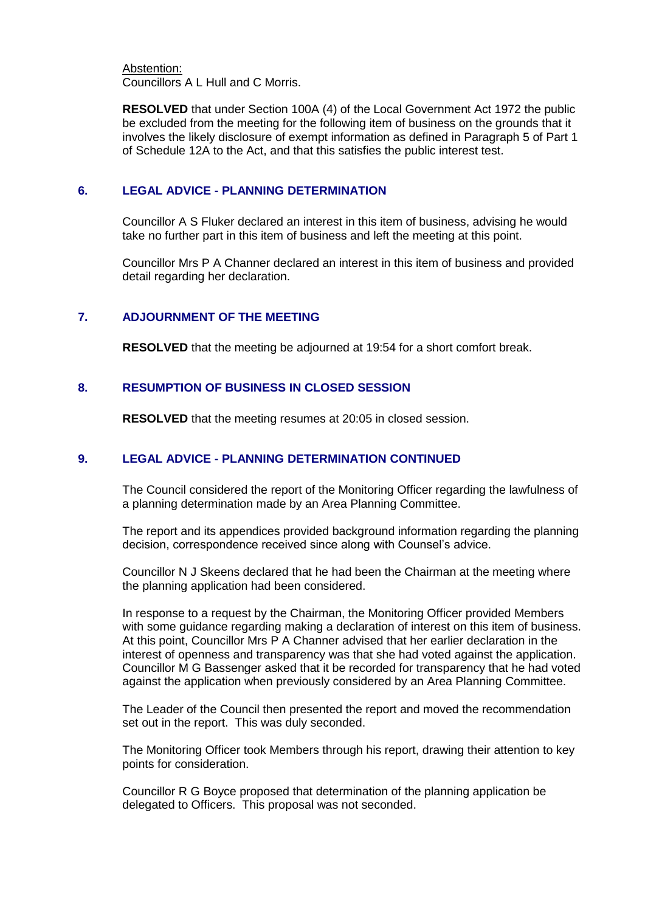Abstention: Councillors A L Hull and C Morris.

**RESOLVED** that under Section 100A (4) of the Local Government Act 1972 the public be excluded from the meeting for the following item of business on the grounds that it involves the likely disclosure of exempt information as defined in Paragraph 5 of Part 1 of Schedule 12A to the Act, and that this satisfies the public interest test.

## **6. LEGAL ADVICE - PLANNING DETERMINATION**

Councillor A S Fluker declared an interest in this item of business, advising he would take no further part in this item of business and left the meeting at this point.

Councillor Mrs P A Channer declared an interest in this item of business and provided detail regarding her declaration.

## **7. ADJOURNMENT OF THE MEETING**

**RESOLVED** that the meeting be adjourned at 19:54 for a short comfort break.

## **8. RESUMPTION OF BUSINESS IN CLOSED SESSION**

**RESOLVED** that the meeting resumes at 20:05 in closed session.

# **9. LEGAL ADVICE - PLANNING DETERMINATION CONTINUED**

The Council considered the report of the Monitoring Officer regarding the lawfulness of a planning determination made by an Area Planning Committee.

The report and its appendices provided background information regarding the planning decision, correspondence received since along with Counsel's advice.

Councillor N J Skeens declared that he had been the Chairman at the meeting where the planning application had been considered.

In response to a request by the Chairman, the Monitoring Officer provided Members with some guidance regarding making a declaration of interest on this item of business. At this point, Councillor Mrs P A Channer advised that her earlier declaration in the interest of openness and transparency was that she had voted against the application. Councillor M G Bassenger asked that it be recorded for transparency that he had voted against the application when previously considered by an Area Planning Committee.

The Leader of the Council then presented the report and moved the recommendation set out in the report. This was duly seconded.

The Monitoring Officer took Members through his report, drawing their attention to key points for consideration.

Councillor R G Boyce proposed that determination of the planning application be delegated to Officers. This proposal was not seconded.